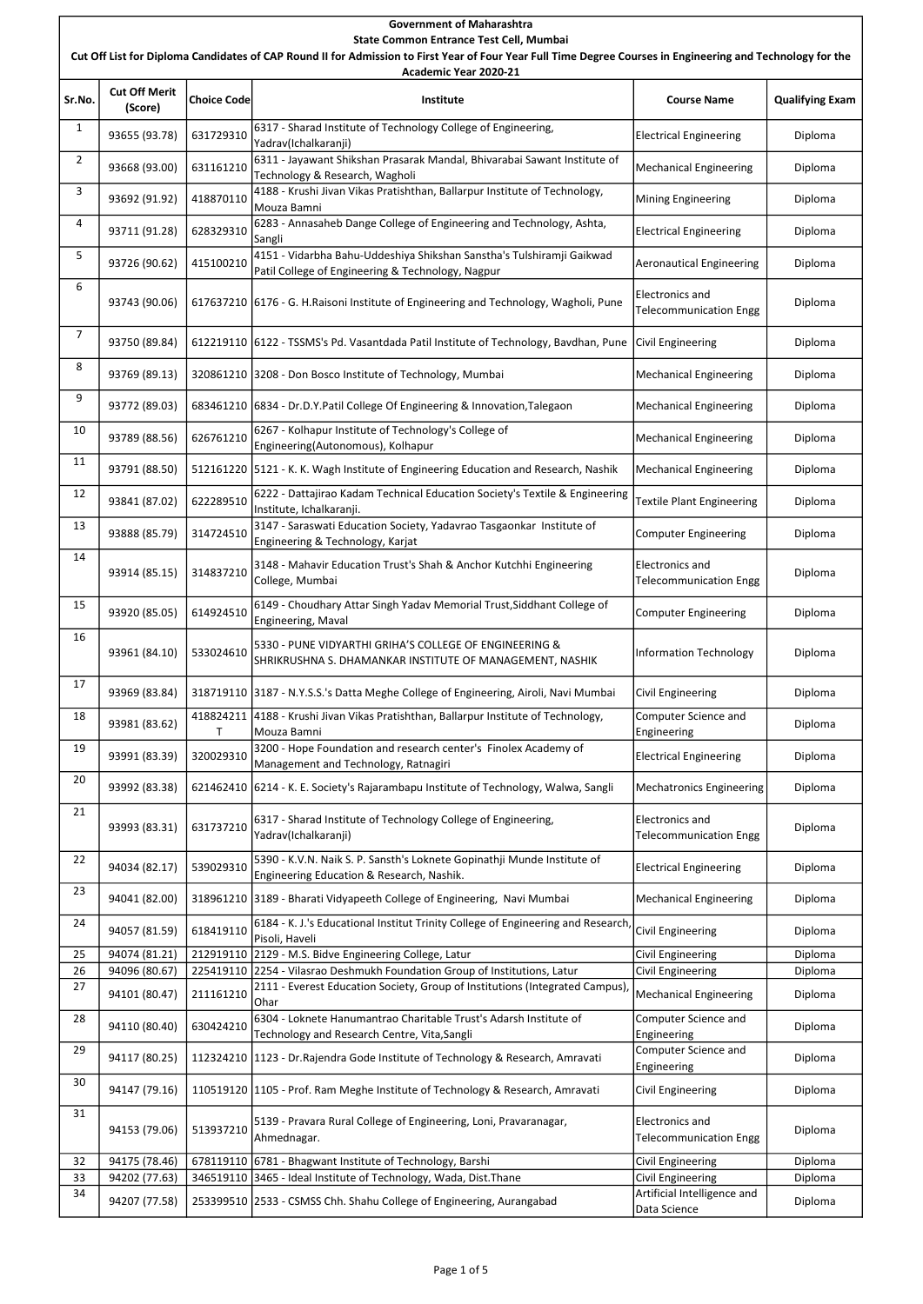### Sr.No. Cut Off Merit Choice Code | Choice Code | Choice Code | Choice Code | Choice Code | Choice Code | Choice Code | Choice Code |<br>(Score) | Choice Code | Choice Code | Choice Code | Choice | Choice | Choice | Choice Code | Choice Code | Cho 1 93655 (93.78) | 631729310 | 6317 - Sharad Institute of Technology College of Engineering,<br>
Pelectrical Engineering | Diploma 2 93668 (93.00) | 631161210 | 6311 - Jayawant Shikshan Prasarak Mandal, Bhivarabai Sawant Institute of | Mechanical Engineering | Diploma<br>|- Diploma 3 93692 (91.92)  $\Big|$  418870110  $\Big|$  4188 - Krushi Jivan Vikas Pratishthan, Ballarpur Institute of Technology, Mouza Bamni Mining Engineering | Diploma 4 93711 (91.28) 628329310 6283 - Annasaheb Dange College of Engineering and Technology, Ashta, electrical Engineering Diploma<br>
Electrical Engineering Cangli 5 93726 (90.62) 415100210 4151 - Vidarbha Bahu-Uddeshiya Shikshan Sanstha's Tulshiramji Gaikwad Patil College of Engineering & Technology, Nagpur **Acknowld Patil College of Engineering Patil College of Engineering & Technology**, Nagpur 6 93743 (90.06) 617637210 6176 - G. H.Raisoni Institute of Engineering and Technology, Wagholi, Pune Electronics and There is the communication Engg Diploma 7 93750 (89.84) 612219110 6122 - TSSMS's Pd. Vasantdada Patil Institute of Technology, Bavdhan, Pune Civil Engineering | Diploma 8 93769 (89.13) 320861210 3208 - Don Bosco Institute of Technology, Mumbai Mechanical Engineering Diploma 9 93772 (89.03) 683461210 6834 - Dr.D.Y.Patil College Of Engineering & Innovation,Talegaon Mechanical Engineering | Diploma 10 93789 (88.56) 626761210 6267 - Kolhapur Institute of Technology's College of Engineering(Autonomous), Kolhapur Mechanical Engineering Diploma<br>Engineering(Autonomous), Kolhapur 11 93791 (88.50) 512161220 5121 - K. K. Wagh Institute of Engineering Education and Research, Nashik Mechanical Engineering Diploma 12 93841 (87.02) 622289510 6222 - Dattajirao Kadam Technical Education Society's Textile & Engineering | Textile Plant Engineering | Diploma 13 93888 (85.79) 314724510 3147 - Saraswati Education Society, Yadavrao Tasgaonkar Institute of Computer Engineering Diploma 14 93914 (85.15) 314837210 3148 - Mahavir Education Trust's Shah & Anchor Kutchhi Engineering College, Mumbai Electronics and Encementation Engg Diploma<br>Telecommunication Engg 15 93920 (85.05) 614924510 6149 - Choudhary Attar Singh Yadav Memorial Trust,Siddhant College of computer Engineering Diploma 16 93961 (84.10) 533024610 5330 - PUNE VIDYARTHI GRIHA'S COLLEGE OF ENGINEERING & SHRIKRUSHNA S. DHAMANKAR INSTITUTE OF MANAGEMENT, NASHIK Information Technology | Diploma 17 93969 (83.84) 318719110 3187 - N.Y.S.S.'s Datta Meghe College of Engineering, Airoli, Navi Mumbai Civil Engineering Diploma  $\begin{array}{|c|c|c|c|c|}\n\hline\n18 & 93981 & (83.62) & 418824211 \\
\hline\n\end{array}$ T 4188 - Krushi Jivan Vikas Pratishthan, Ballarpur Institute of Technology, Mouza Bamni Computer Science and Engineering Diploma 19 93991 (83.39)  $320029310$   $3200 -$  Hope Foundation and research center's Finolex Academy of Management and Technology, Ratnagiri Electrical Engineering Diplomant Diplomant Ratio Diplomant Control of Ratnagiri <sup>20</sup> 93992 (83.38) 621462410 6214 - K. E. Society's Rajarambapu Institute of Technology, Walwa, Sangli Mechatronics Engineering Diploma 21 93993 (83.31) 631737210 6317 - Sharad Institute of Technology College of Engineering, Yadrav(Ichalkaranji) Electronics and The communication Engg Diploma 22 94034 (82.17) 539029310 5390 - K.V.N. Naik S. P. Sansth's Loknete Gopinathji Munde Institute of Expression Research, Nashik. Engineering Education & Research, Nashik. Electrical Engineering Pointering Diploma 23 94041 (82.00) 318961210 3189 - Bharati Vidyapeeth College of Engineering, Navi Mumbai Mechanical Engineering Diploma 24 94057 (81.59) 618419110  $\begin{vmatrix} 6184 & -K & J.'s \end{vmatrix}$  Educational Institut Trinity College of Engineering and Research, Civil Engineering Diploma<br>
Diploma 25 94074 (81.21) 212919110 2129 - M.S. Bidve Engineering College, Latur Civil Engineering Providence ing Diploma Government of Maharashtra State Common Entrance Test Cell, Mumbai Cut Off List for Diploma Candidates of CAP Round II for Admission to First Year of Four Year Full Time Degree Courses in Engineering and Technology for the Academic Year 2020-21

| 27 | 94101 (80.47) | 211161210                                                            | [2111 - Everest Education Society, Group of Institutions (Integrated Campus),<br><b>Ohar</b> | Mechanical Engineering                           | Diploma |
|----|---------------|----------------------------------------------------------------------|----------------------------------------------------------------------------------------------|--------------------------------------------------|---------|
| 28 | 94110 (80.40) | 630424210                                                            | 6304 - Loknete Hanumantrao Charitable Trust's Adarsh Institute of                            | Computer Science and                             | Diploma |
|    |               |                                                                      | Technology and Research Centre, Vita, Sangli                                                 | Engineering                                      |         |
| 29 | 94117 (80.25) |                                                                      | 112324210 1123 - Dr. Rajendra Gode Institute of Technology & Research, Amravati              | Computer Science and                             | Diploma |
|    |               |                                                                      |                                                                                              | Engineering                                      |         |
| 30 | 94147 (79.16) |                                                                      | 110519120 1105 - Prof. Ram Meghe Institute of Technology & Research, Amravati                | Civil Engineering                                | Diploma |
| 31 | 94153 (79.06) | 513937210                                                            | 5139 - Pravara Rural College of Engineering, Loni, Pravaranagar,<br>Ahmednagar.              | Electronics and<br><b>Telecommunication Engg</b> | Diploma |
| 32 | 94175 (78.46) |                                                                      | 678119110 6781 - Bhagwant Institute of Technology, Barshi                                    | Civil Engineering                                | Diploma |
| 33 | 94202 (77.63) |                                                                      | 346519110 3465 - Ideal Institute of Technology, Wada, Dist. Thane                            | Civil Engineering                                | Diploma |
| 34 | 94207 (77.58) | 253399510 2533 - CSMSS Chh. Shahu College of Engineering, Aurangabad | Artificial Intelligence and                                                                  | Diploma                                          |         |
|    |               |                                                                      | Data Science                                                                                 |                                                  |         |

26 94096 (80.67) 225419110 2254 - Vilasrao Deshmukh Foundation Group of Institutions, Latur [Civil Engineering | Diploma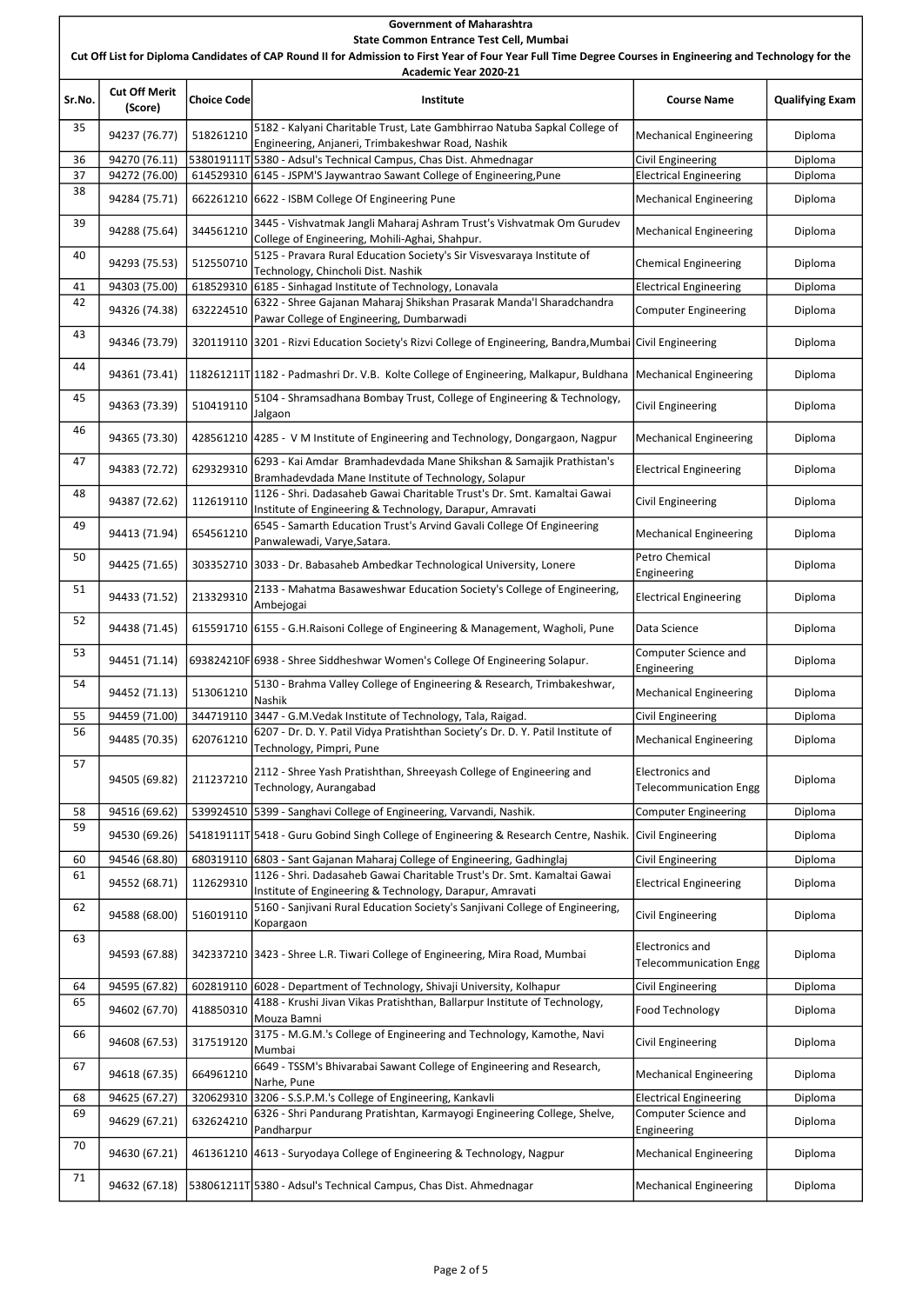### Government of Maharashtra

#### State Common Entrance Test Cell, Mumbai

Cut Off List for Diploma Candidates of CAP Round II for Admission to First Year of Four Year Full Time Degree Courses in Engineering and Technology for the

| Academic Year 2020-21 |                                 |                    |                                                                                                                                                       |                                                         |                        |  |  |
|-----------------------|---------------------------------|--------------------|-------------------------------------------------------------------------------------------------------------------------------------------------------|---------------------------------------------------------|------------------------|--|--|
| Sr.No.                | <b>Cut Off Merit</b><br>(Score) | <b>Choice Code</b> | Institute                                                                                                                                             | <b>Course Name</b>                                      | <b>Qualifying Exam</b> |  |  |
| 35                    | 94237 (76.77)                   | 518261210          | 5182 - Kalyani Charitable Trust, Late Gambhirrao Natuba Sapkal College of<br>Engineering, Anjaneri, Trimbakeshwar Road, Nashik                        | <b>Mechanical Engineering</b>                           | Diploma                |  |  |
| 36                    | 94270 (76.11)                   |                    | 538019111T 5380 - Adsul's Technical Campus, Chas Dist. Ahmednagar                                                                                     | <b>Civil Engineering</b>                                | Diploma                |  |  |
| 37                    | 94272 (76.00)                   |                    | 614529310 6145 - JSPM'S Jaywantrao Sawant College of Engineering, Pune                                                                                | <b>Electrical Engineering</b>                           | Diploma                |  |  |
| 38                    | 94284 (75.71)                   |                    | 662261210 6622 - ISBM College Of Engineering Pune                                                                                                     | <b>Mechanical Engineering</b>                           | Diploma                |  |  |
| 39                    | 94288 (75.64)                   | 344561210          | 3445 - Vishvatmak Jangli Maharaj Ashram Trust's Vishvatmak Om Gurudev<br>College of Engineering, Mohili-Aghai, Shahpur.                               | Mechanical Engineering                                  | Diploma                |  |  |
| 40                    | 94293 (75.53)                   | 512550710          | 5125 - Pravara Rural Education Society's Sir Visvesvaraya Institute of<br>Technology, Chincholi Dist. Nashik                                          | <b>Chemical Engineering</b>                             | Diploma                |  |  |
| 41                    | 94303 (75.00)                   |                    | 618529310 6185 - Sinhagad Institute of Technology, Lonavala                                                                                           | <b>Electrical Engineering</b>                           | Diploma                |  |  |
| 42                    | 94326 (74.38)                   | 632224510          | 6322 - Shree Gajanan Maharaj Shikshan Prasarak Manda'l Sharadchandra<br>Pawar College of Engineering, Dumbarwadi                                      | <b>Computer Engineering</b>                             | Diploma                |  |  |
| 43                    | 94346 (73.79)                   |                    | 320119110 3201 - Rizvi Education Society's Rizvi College of Engineering, Bandra, Mumbai Civil Engineering                                             |                                                         | Diploma                |  |  |
| 44                    | 94361 (73.41)                   |                    | 118261211T 1182 - Padmashri Dr. V.B. Kolte College of Engineering, Malkapur, Buldhana Mechanical Engineering                                          |                                                         | Diploma                |  |  |
| 45                    | 94363 (73.39)                   | 510419110          | 5104 - Shramsadhana Bombay Trust, College of Engineering & Technology,<br>Jalgaon                                                                     | <b>Civil Engineering</b>                                | Diploma                |  |  |
| 46                    | 94365 (73.30)                   |                    | 428561210 4285 - V M Institute of Engineering and Technology, Dongargaon, Nagpur                                                                      | <b>Mechanical Engineering</b>                           | Diploma                |  |  |
| 47                    | 94383 (72.72)                   | 629329310          | 6293 - Kai Amdar Bramhadevdada Mane Shikshan & Samajik Prathistan's<br>Bramhadevdada Mane Institute of Technology, Solapur                            | <b>Electrical Engineering</b>                           | Diploma                |  |  |
| 48                    | 94387 (72.62)                   | 112619110          | 1126 - Shri. Dadasaheb Gawai Charitable Trust's Dr. Smt. Kamaltai Gawai<br>Institute of Engineering & Technology, Darapur, Amravati                   | <b>Civil Engineering</b>                                | Diploma                |  |  |
| 49                    | 94413 (71.94)                   | 654561210          | 6545 - Samarth Education Trust's Arvind Gavali College Of Engineering<br>Panwalewadi, Varye, Satara.                                                  | <b>Mechanical Engineering</b>                           | Diploma                |  |  |
| 50                    | 94425 (71.65)                   |                    | 303352710 3033 - Dr. Babasaheb Ambedkar Technological University, Lonere                                                                              | Petro Chemical<br>Engineering                           | Diploma                |  |  |
| 51                    | 94433 (71.52)                   | 213329310          | 2133 - Mahatma Basaweshwar Education Society's College of Engineering,<br>Ambejogai                                                                   | <b>Electrical Engineering</b>                           | Diploma                |  |  |
| 52                    | 94438 (71.45)                   |                    | 615591710 6155 - G.H.Raisoni College of Engineering & Management, Wagholi, Pune                                                                       | Data Science                                            | Diploma                |  |  |
| 53                    | 94451 (71.14)                   |                    | 693824210F 6938 - Shree Siddheshwar Women's College Of Engineering Solapur.                                                                           | Computer Science and<br>Engineering                     | Diploma                |  |  |
| 54                    | 94452 (71.13)                   | 513061210          | 5130 - Brahma Valley College of Engineering & Research, Trimbakeshwar,<br>Nashik                                                                      | <b>Mechanical Engineering</b>                           | Diploma                |  |  |
| 55                    | 94459 (71.00)                   |                    | 344719110 3447 - G.M. Vedak Institute of Technology, Tala, Raigad.                                                                                    | <b>Civil Engineering</b>                                | Diploma                |  |  |
| 56                    | 94485 (70.35)                   | 620761210          | 6207 - Dr. D. Y. Patil Vidya Pratishthan Society's Dr. D. Y. Patil Institute of<br>Technology, Pimpri, Pune                                           | <b>Mechanical Engineering</b>                           | Diploma                |  |  |
| 57                    | 94505 (69.82)                   | 211237210          | 2112 - Shree Yash Pratishthan, Shreeyash College of Engineering and<br>Technology, Aurangabad                                                         | <b>Electronics and</b><br><b>Telecommunication Engg</b> | Diploma                |  |  |
| 58                    | 94516 (69.62)                   |                    | 539924510 5399 - Sanghavi College of Engineering, Varvandi, Nashik.                                                                                   | <b>Computer Engineering</b>                             | Diploma                |  |  |
| 59                    | 94530 (69.26)                   |                    | 541819111T 5418 - Guru Gobind Singh College of Engineering & Research Centre, Nashik. Civil Engineering                                               |                                                         | Diploma                |  |  |
| 60                    | 94546 (68.80)                   |                    | 680319110 6803 - Sant Gajanan Maharaj College of Engineering, Gadhinglaj                                                                              | <b>Civil Engineering</b>                                | Diploma                |  |  |
| 61                    | 94552 (68.71)                   | 112629310          | 1126 - Shri. Dadasaheb Gawai Charitable Trust's Dr. Smt. Kamaltai Gawai                                                                               | <b>Electrical Engineering</b>                           | Diploma                |  |  |
| 62                    | 94588 (68.00)                   | 516019110          | Institute of Engineering & Technology, Darapur, Amravati<br>5160 - Sanjivani Rural Education Society's Sanjivani College of Engineering,<br>Kopargaon | <b>Civil Engineering</b>                                | Diploma                |  |  |
| 63                    | 94593 (67.88)                   |                    | 342337210 3423 - Shree L.R. Tiwari College of Engineering, Mira Road, Mumbai                                                                          | <b>Electronics and</b><br><b>Telecommunication Engg</b> | Diploma                |  |  |
| 64                    | 94595 (67.82)                   |                    | 602819110 6028 - Department of Technology, Shivaji University, Kolhapur                                                                               | Civil Engineering                                       | Diploma                |  |  |
| 65                    | 94602 (67.70)                   | 418850310          | 4188 - Krushi Jivan Vikas Pratishthan, Ballarpur Institute of Technology,<br>Mouza Bamni                                                              | Food Technology                                         | Diploma                |  |  |
| 66                    | 94608 (67.53)                   | 317519120          | 3175 - M.G.M.'s College of Engineering and Technology, Kamothe, Navi<br>Mumbai                                                                        | <b>Civil Engineering</b>                                | Diploma                |  |  |
| 67                    | 94618 (67.35)                   | 664961210          | 6649 - TSSM's Bhivarabai Sawant College of Engineering and Research,<br>Narhe, Pune                                                                   | <b>Mechanical Engineering</b>                           | Diploma                |  |  |
| 68                    | 94625 (67.27)                   |                    | 320629310 3206 - S.S.P.M.'s College of Engineering, Kankavli                                                                                          | <b>Electrical Engineering</b>                           | Diploma                |  |  |
| 69                    | 94629 (67.21)                   | 632624210          | 6326 - Shri Pandurang Pratishtan, Karmayogi Engineering College, Shelve,<br>Pandharpur                                                                | Computer Science and<br>Engineering                     | Diploma                |  |  |
| 70                    | 94630 (67.21)                   |                    | 461361210 4613 - Suryodaya College of Engineering & Technology, Nagpur                                                                                | <b>Mechanical Engineering</b>                           | Diploma                |  |  |
| 71                    | 94632 (67.18)                   |                    | 538061211T 5380 - Adsul's Technical Campus, Chas Dist. Ahmednagar                                                                                     | Mechanical Engineering                                  | Diploma                |  |  |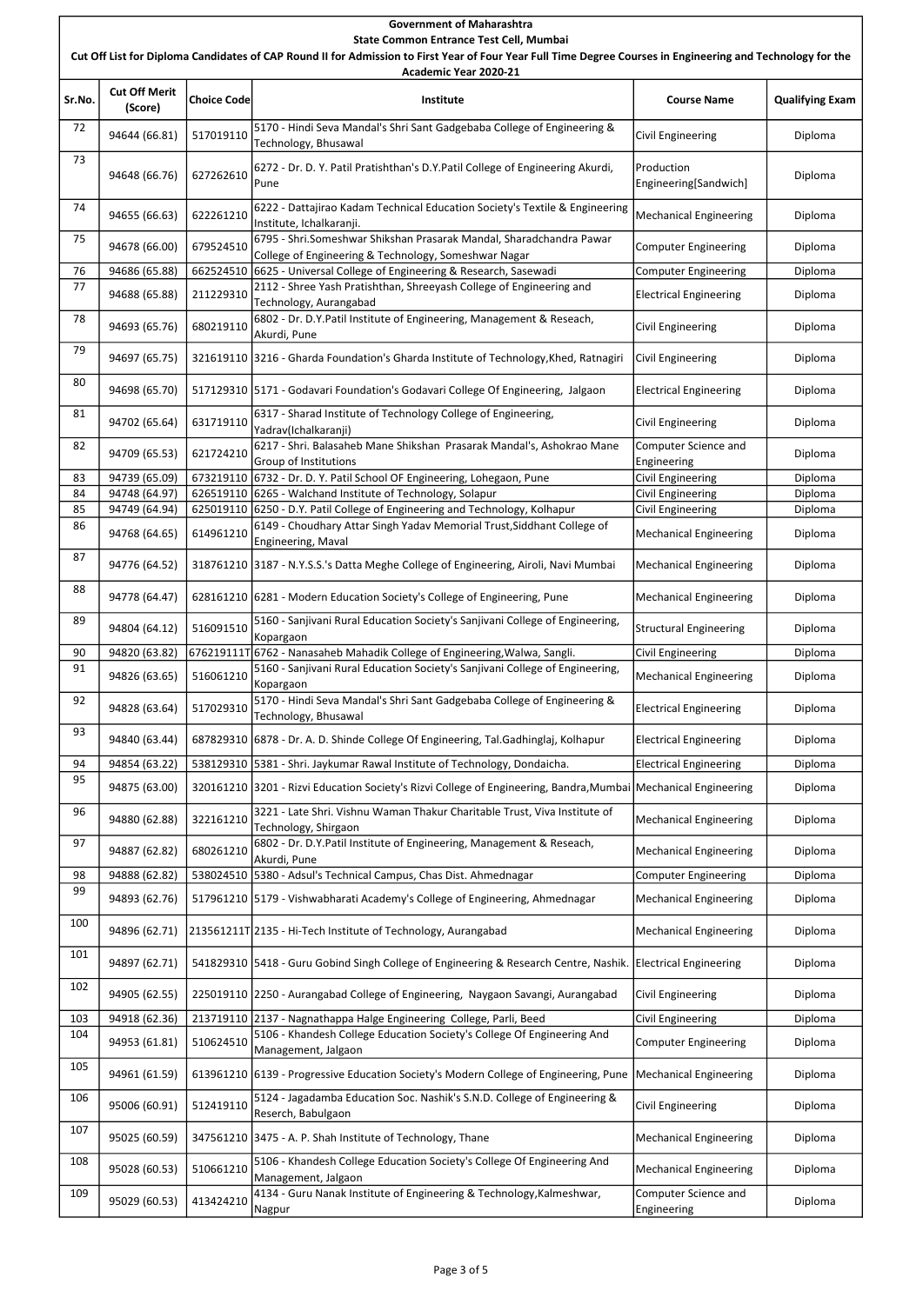## Sr.No. Cut Off Merit Choice Code | Choice Code | Choice Code | Choice Code | Choice Code | Choice Code | Choice Code | Choice Code |<br>(Score) | Choice Code | Choice Code | Choice Code | Choice | Choice | Choice | Choice Code | Choice Code | Cho Government of Maharashtra State Common Entrance Test Cell, Mumbai Cut Off List for Diploma Candidates of CAP Round II for Admission to First Year of Four Year Full Time Degree Courses in Engineering and Technology for the Academic Year 2020-21 72 94644 (66.81) | 517019110 | 5170 - Hindi Seva Mandal's Shri Sant Gadgebaba College of Engineering | Civil Engineering | Diploma | Diploma | Diploma | Diploma | Diploma | Diploma | Diploma | Diploma | Diploma | Diploma | 73 94648 (66.76) 627262610 6272 - Dr. D. Y. Patil Pratishthan's D.Y.Patil College of Engineering Akurdi, Pune Production Engineering[Sandwich] Diploma 74 | 94655 (66.63) | 622261210 | 6222 - Dattajirao Kadam Technical Education Society's Textile & Engineering | Mechanical Engineering | Diploma<br>| 94655 (66.63) | 622261210 | Institute, Ichalkaranji. 75 94678 (66.00) 679524510 6795 - Shri.Someshwar Shikshan Prasarak Mandal, Sharadchandra Pawar College of Engineering & Technology, Someshwar Nagar Computer Engineering Diploma 76 | 94686 (65.88) | 662524510 | 6625 - Universal College of Engineering & Research, Sasewadi | Computer Engineering | Diploma 77 94688 (65.88) 211229310 2112 - Shree Yash Pratishthan, Shreeyash College of Engineering and Electrical Engineering Diploma<br>Pechnology, Aurangabad 78 94693 (65.76) 680219110 6802 - Dr. D.Y.Patil Institute of Engineering, Management & Reseach, Civil Engineering Diploma<br>
Civil Engineering Civil Engineering  $\begin{array}{|c|c|c|c|c|c|}\hline \end{array}$  94697 (65.75) 321619110 3216 - Gharda Foundation's Gharda Institute of Technology, Khed, Ratnagiri Civil Engineering Diploma 80 94698 (65.70) 517129310 5171 - Godavari Foundation's Godavari College Of Engineering, Jalgaon Electrical Engineering Diploma 81 94702 (65.64) 631719110 6317 - Sharad Institute of Technology College of Engineering,<br>
Piploma Civil Engineering Diploma (Yadrav(Ichalkaranji) 82 94709 (65.53)  $\Big| 621724210 \Big| 6217 - 5$ hri. Balasaheb Mane Shikshan Prasarak Mandal's, Ashokrao Mane Group of Institutions Computer Science and Engineering Diploma 83 94739 (65.09) 673219110 6732 - Dr. D. Y. Patil School OF Engineering, Lohegaon, Pune Civil Engineering | Diploma 84 94748 (64.97) 626519110 6265 - Walchand Institute of Technology, Solapur | Civil Engineering | Diploma 85 94749 (64.94) 625019110 6250 - D.Y. Patil College of Engineering and Technology, Kolhapur [Civil Engineering | Diploma 86 94768 (64.65) 614961210 6149 - Choudhary Attar Singh Yadav Memorial Trust,Siddhant College of Mechanical Engineering Diploma 87 94776 (64.52) 318761210 3187 - N.Y.S.S.'s Datta Meghe College of Engineering, Airoli, Navi Mumbai Mechanical Engineering Diploma 88 94778 (64.47) 628161210 6281 - Modern Education Society's College of Engineering, Pune Mechanical Engineering Diploma 89 94804 (64.12)  $\Big| 516091510 \Big|$ . 516091510  $\Big|$ . Kopargaon Structural Engineering | Diploma 90 94820 (63.82) 676219111T 6762 - Nanasaheb Mahadik College of Engineering, Walwa, Sangli. Civil Engineering Publoma 91 94826 (63.65) 516061210 5160 - Sanjivani Rural Education Society's Sanjivani College of Engineering Kopargaon Mechanical Engineering | Diploma 92 94828 (63.64) 517029310 5170 - Hindi Seva Mandal's Shri Sant Gadgebaba College of Engineering & Electrical Engineering Diploma<br>
Perchical Engineering Diploma 93 94840 (63.44) 687829310 6878 - Dr. A. D. Shinde College Of Engineering, Tal.Gadhinglaj, Kolhapur | Electrical Engineering | Diploma 94 | 94854 (63.22) | 538129310 | 5381 - Shri. Jaykumar Rawal Institute of Technology, Dondaicha. | Electrical Engineering | Diploma 95 94875 (63.00) 320161210 3201 - Rizvi Education Society's Rizvi College of Engineering, Bandra,Mumbai Mechanical Engineering Diploma 96 94880 (62.88) 322161210 3221 - Late Shri. Vishnu Waman Thakur Charitable Trust, Viva Institute of Mechanical Engineering Diploma 97 94887 (62.82) 680261210 6802 - Dr. D.Y.Patil Institute of Engineering, Management & Reseach,<br>
Mechanical Engineering | Diploma<br>
Diploma 98 94888 (62.82) 538024510 5380 - Adsul's Technical Campus, Chas Dist. Ahmednagar Computer Engineering | Diploma 99 94893 (62.76) 517961210 5179 - Vishwabharati Academy's College of Engineering, Ahmednagar Mechanical Engineering Diploma 100 94896 (62.71) 213561211T 2135 - Hi-Tech Institute of Technology, Aurangabad Mechanical Engineering Diploma 101 94897 (62.71) 541829310 5418 - Guru Gobind Singh College of Engineering & Research Centre, Nashik. Electrical Engineering Diploma

| 102 | 94905 (62.55) |           | 225019110 2250 - Aurangabad College of Engineering, Naygaon Savangi, Aurangabad                | Civil Engineering                   | Diploma |
|-----|---------------|-----------|------------------------------------------------------------------------------------------------|-------------------------------------|---------|
| 103 | 94918 (62.36) |           | 213719110 2137 - Nagnathappa Halge Engineering College, Parli, Beed                            | Civil Engineering                   | Diploma |
| 104 | 94953 (61.81) | 510624510 | 5106 - Khandesh College Education Society's College Of Engineering And<br>Management, Jalgaon  | Computer Engineering                | Diploma |
| 105 | 94961 (61.59) |           | 613961210 6139 - Progressive Education Society's Modern College of Engineering, Pune           | Mechanical Engineering              | Diploma |
| 106 | 95006 (60.91) | 512419110 | 5124 - Jagadamba Education Soc. Nashik's S.N.D. College of Engineering &<br>Reserch, Babulgaon | Civil Engineering                   | Diploma |
| 107 | 95025 (60.59) |           | 347561210 3475 - A. P. Shah Institute of Technology, Thane                                     | Mechanical Engineering              | Diploma |
| 108 | 95028 (60.53) | 510661210 | 5106 - Khandesh College Education Society's College Of Engineering And<br>Management, Jalgaon  | Mechanical Engineering              | Diploma |
| 109 | 95029 (60.53) | 413424210 | 4134 - Guru Nanak Institute of Engineering & Technology, Kalmeshwar,<br>Nagpur                 | Computer Science and<br>Engineering | Diploma |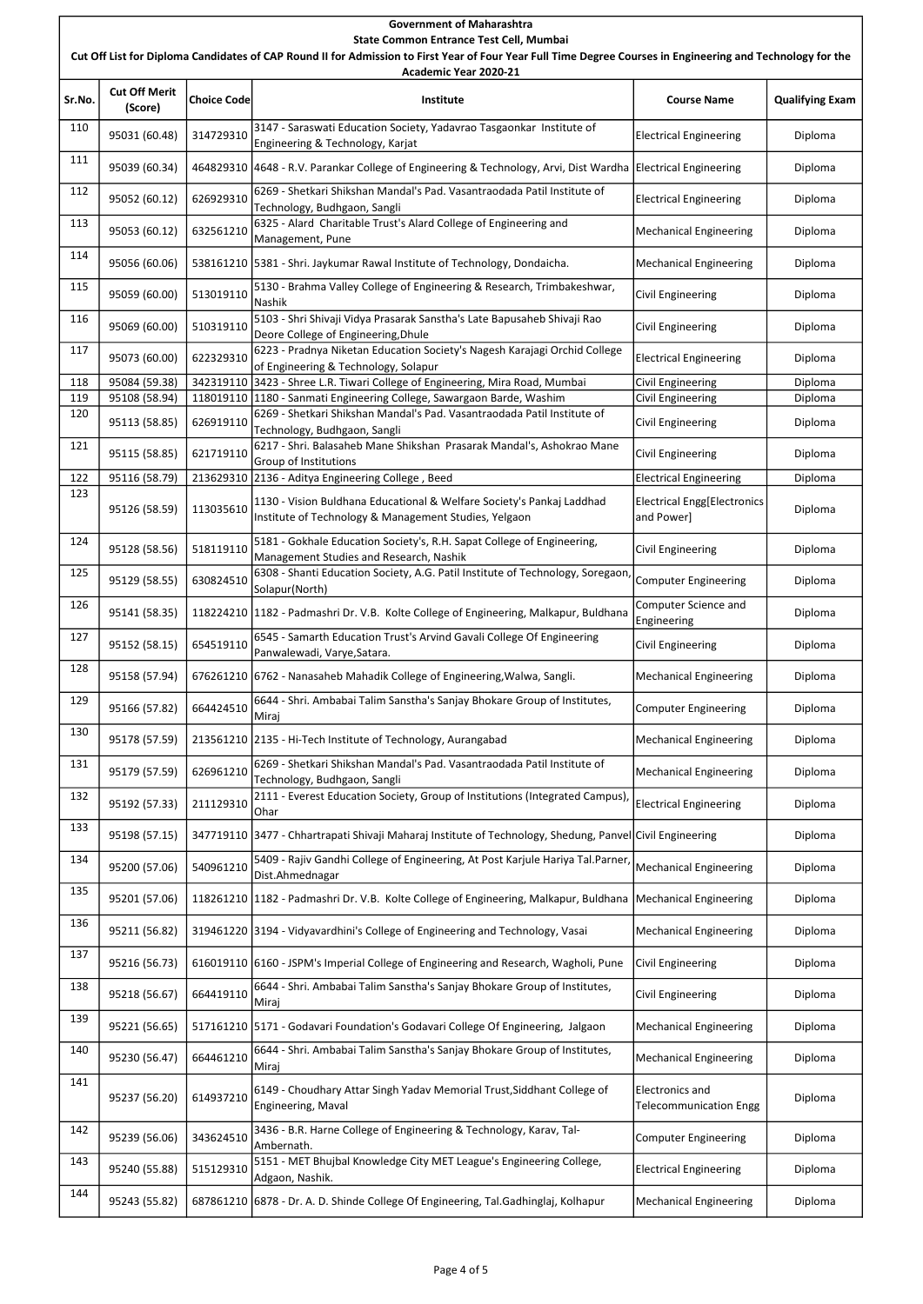Sr.No. Cut Off Merit Choice Code | Choice Code | Choice Code | Choice Code | Choice Code | Choice Code | Choice Code | Choice Code |<br>(Score) | Choice Code | Choice Code | Choice Code | Choice | Choice | Choice | Choice Code | Choice Code | Cho Government of Maharashtra State Common Entrance Test Cell, Mumbai Cut Off List for Diploma Candidates of CAP Round II for Admission to First Year of Four Year Full Time Degree Courses in Engineering and Technology for the Academic Year 2020-21 110 95031 (60.48) 314729310 3147 - Saraswati Education Society, Yadavrao Tasgaonkar Institute of electrical Engineering Diploma<br>
Engineering Electrical Engineering & Technology, Karjat  $\begin{array}{|c|c|c|c|c|}\n 111 & 95039 (60.34) & 464829310 & 4648 - R.V. \text{ Parankar College of Engineering & Technology, Arvi, Dist Wardha.} \end{array}$  Electrical Engineering Diploma 112 95052 (60.12)  $\Big| 626929310 \Big| 6269$  - Shetkari Shikshan Mandal's Pad. Vasantraodada Patil Institute of ozos - Shetkari Shikshan Mahdai's Pad. Vasahtrabdada Patil Institute of Medectrical Engineering Diploma<br>Technology, Budhgaon, Sangli  $\begin{array}{|l|l|}\n 113 &95053 & (60.12) & 632561210 & 6325 - \text{Alard} \text{ Charitable Trust's Alard College of Engineering and}\n \end{array}$ Management, Pune Mechanical Engineering | Diploma

|     | 95039 (60.34) |           | 464829310  4648 - R.V. Parankar College of Engineering & Technology, Arvi, Dist Wardha   Electrical Engineering                |                                                         | Diploma |
|-----|---------------|-----------|--------------------------------------------------------------------------------------------------------------------------------|---------------------------------------------------------|---------|
| 112 | 95052 (60.12) | 626929310 | 6269 - Shetkari Shikshan Mandal's Pad. Vasantraodada Patil Institute of<br>Technology, Budhgaon, Sangli                        | <b>Electrical Engineering</b>                           | Diploma |
| 113 | 95053 (60.12) | 632561210 | 6325 - Alard Charitable Trust's Alard College of Engineering and<br>Management, Pune                                           | <b>Mechanical Engineering</b>                           | Diploma |
| 114 | 95056 (60.06) |           | 538161210 5381 - Shri. Jaykumar Rawal Institute of Technology, Dondaicha.                                                      | <b>Mechanical Engineering</b>                           | Diploma |
| 115 | 95059 (60.00) | 513019110 | 5130 - Brahma Valley College of Engineering & Research, Trimbakeshwar,<br>Nashik                                               | Civil Engineering                                       | Diploma |
| 116 | 95069 (60.00) | 510319110 | 5103 - Shri Shivaji Vidya Prasarak Sanstha's Late Bapusaheb Shivaji Rao<br>Deore College of Engineering, Dhule                 | <b>Civil Engineering</b>                                | Diploma |
| 117 | 95073 (60.00) | 622329310 | 6223 - Pradnya Niketan Education Society's Nagesh Karajagi Orchid College<br>of Engineering & Technology, Solapur              | <b>Electrical Engineering</b>                           | Diploma |
| 118 | 95084 (59.38) |           | 342319110 3423 - Shree L.R. Tiwari College of Engineering, Mira Road, Mumbai                                                   | Civil Engineering                                       | Diploma |
| 119 | 95108 (58.94) |           | 118019110 1180 - Sanmati Engineering College, Sawargaon Barde, Washim                                                          | <b>Civil Engineering</b>                                | Diploma |
| 120 | 95113 (58.85) | 626919110 | 6269 - Shetkari Shikshan Mandal's Pad. Vasantraodada Patil Institute of<br>Technology, Budhgaon, Sangli                        | Civil Engineering                                       | Diploma |
| 121 | 95115 (58.85) | 621719110 | 6217 - Shri. Balasaheb Mane Shikshan Prasarak Mandal's, Ashokrao Mane<br>Group of Institutions                                 | Civil Engineering                                       | Diploma |
| 122 | 95116 (58.79) |           | 213629310 2136 - Aditya Engineering College, Beed                                                                              | <b>Electrical Engineering</b>                           | Diploma |
| 123 | 95126 (58.59) | 113035610 | 1130 - Vision Buldhana Educational & Welfare Society's Pankaj Laddhad<br>Institute of Technology & Management Studies, Yelgaon | <b>Electrical Engg[Electronics</b><br>and Power]        | Diploma |
| 124 | 95128 (58.56) | 518119110 | 5181 - Gokhale Education Society's, R.H. Sapat College of Engineering,<br>Management Studies and Research, Nashik              | Civil Engineering                                       | Diploma |
| 125 | 95129 (58.55) | 630824510 | 6308 - Shanti Education Society, A.G. Patil Institute of Technology, Soregaon,<br>Solapur(North)                               | Computer Engineering                                    | Diploma |
| 126 | 95141 (58.35) |           | 118224210 1182 - Padmashri Dr. V.B. Kolte College of Engineering, Malkapur, Buldhana                                           | Computer Science and<br>Engineering                     | Diploma |
| 127 | 95152 (58.15) | 654519110 | 6545 - Samarth Education Trust's Arvind Gavali College Of Engineering<br>Panwalewadi, Varye, Satara.                           | Civil Engineering                                       | Diploma |
| 128 | 95158 (57.94) |           | 676261210 6762 - Nanasaheb Mahadik College of Engineering, Walwa, Sangli.                                                      | Mechanical Engineering                                  | Diploma |
| 129 | 95166 (57.82) | 664424510 | 6644 - Shri. Ambabai Talim Sanstha's Sanjay Bhokare Group of Institutes,<br> Miraj                                             | Computer Engineering                                    | Diploma |
| 130 | 95178 (57.59) |           | 213561210 2135 - Hi-Tech Institute of Technology, Aurangabad                                                                   | Mechanical Engineering                                  | Diploma |
| 131 | 95179 (57.59) | 626961210 | 6269 - Shetkari Shikshan Mandal's Pad. Vasantraodada Patil Institute of<br>Technology, Budhgaon, Sangli                        | <b>Mechanical Engineering</b>                           | Diploma |
| 132 | 95192 (57.33) | 211129310 | 2111 - Everest Education Society, Group of Institutions (Integrated Campus),<br>Ohar                                           | <b>Electrical Engineering</b>                           | Diploma |
| 133 | 95198 (57.15) |           | 347719110 3477 - Chhartrapati Shivaji Maharaj Institute of Technology, Shedung, Panvel Civil Engineering                       |                                                         | Diploma |
| 134 | 95200 (57.06) | 540961210 | 5409 - Rajiv Gandhi College of Engineering, At Post Karjule Hariya Tal.Parner,<br>Dist.Ahmednagar                              | Mechanical Engineering                                  | Diploma |
| 135 | 95201 (57.06) |           | 118261210 1182 - Padmashri Dr. V.B. Kolte College of Engineering, Malkapur, Buldhana Mechanical Engineering                    |                                                         | Diploma |
| 136 | 95211 (56.82) |           | 319461220 3194 - Vidyavardhini's College of Engineering and Technology, Vasai                                                  | <b>Mechanical Engineering</b>                           | Diploma |
| 137 | 95216 (56.73) |           | 616019110 6160 - JSPM's Imperial College of Engineering and Research, Wagholi, Pune                                            | <b>Civil Engineering</b>                                | Diploma |
| 138 | 95218 (56.67) | 664419110 | 6644 - Shri. Ambabai Talim Sanstha's Sanjay Bhokare Group of Institutes,<br>Miraj                                              | <b>Civil Engineering</b>                                | Diploma |
| 139 | 95221 (56.65) |           | 517161210 5171 - Godavari Foundation's Godavari College Of Engineering, Jalgaon                                                | Mechanical Engineering                                  | Diploma |
| 140 | 95230 (56.47) | 664461210 | 6644 - Shri. Ambabai Talim Sanstha's Sanjay Bhokare Group of Institutes,<br> Miraj                                             | <b>Mechanical Engineering</b>                           | Diploma |
| 141 | 95237 (56.20) | 614937210 | 6149 - Choudhary Attar Singh Yadav Memorial Trust, Siddhant College of<br>Engineering, Maval                                   | <b>Electronics and</b><br><b>Telecommunication Engg</b> | Diploma |
| 142 | 95239 (56.06) | 343624510 | 3436 - B.R. Harne College of Engineering & Technology, Karav, Tal-<br> Ambernath.                                              | Computer Engineering                                    | Diploma |
| 143 | 95240 (55.88) | 515129310 | 5151 - MET Bhujbal Knowledge City MET League's Engineering College,<br>Adgaon, Nashik.                                         | <b>Electrical Engineering</b>                           | Diploma |
| 144 | 95243 (55.82) |           | 687861210 6878 - Dr. A. D. Shinde College Of Engineering, Tal.Gadhinglaj, Kolhapur                                             | <b>Mechanical Engineering</b>                           | Diploma |